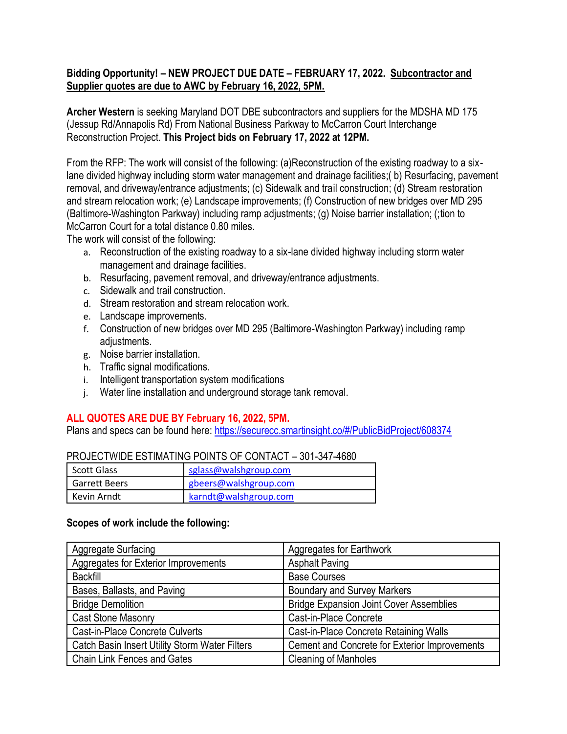## **Bidding Opportunity! – NEW PROJECT DUE DATE – FEBRUARY 17, 2022. Subcontractor and Supplier quotes are due to AWC by February 16, 2022, 5PM.**

**Archer Western** is seeking Maryland DOT DBE subcontractors and suppliers for the MDSHA MD 175 (Jessup Rd/Annapolis Rd) From National Business Parkway to McCarron Court Interchange Reconstruction Project. **This Project bids on February 17, 2022 at 12PM.**

From the RFP: The work will consist of the following: (a)Reconstruction of the existing roadway to a sixlane divided highway including storm water management and drainage facilities;( b) Resurfacing, pavement removal, and driveway/entrance adjustments; (c) Sidewalk and trail construction; (d) Stream restoration and stream relocation work; (e) Landscape improvements; (f) Construction of new bridges over MD 295 (Baltimore-Washington Parkway) including ramp adjustments; (g) Noise barrier installation; (;tion to McCarron Court for a total distance 0.80 miles.

The work will consist of the following:

- a. Reconstruction of the existing roadway to a six-lane divided highway including storm water management and drainage facilities.
- b. Resurfacing, pavement removal, and driveway/entrance adjustments.
- c. Sidewalk and trail construction.
- d. Stream restoration and stream relocation work.
- e. Landscape improvements.
- f. Construction of new bridges over MD 295 (Baltimore-Washington Parkway) including ramp adjustments.
- g. Noise barrier installation.
- h. Traffic signal modifications.
- i. Intelligent transportation system modifications
- j. Water line installation and underground storage tank removal.

## **ALL QUOTES ARE DUE BY February 16, 2022, 5PM.**

Plans and specs can be found here: [https://securecc.smartinsight.co/#/PublicBidProject/608374](https://nam11.safelinks.protection.outlook.com/?url=https%3A%2F%2Fsecurecc.smartinsight.co%2F%23%2FPublicBidProject%2F608374&data=04%7C01%7Cstally%40walshgroup.com%7C8aed171c749445f3a98508d9d9c9bb8d%7C6854dfc749ff4a8b87ae070022537f8a%7C0%7C0%7C637780282796427344%7CUnknown%7CTWFpbGZsb3d8eyJWIjoiMC4wLjAwMDAiLCJQIjoiV2luMzIiLCJBTiI6Ik1haWwiLCJXVCI6Mn0%3D%7C3000&sdata=YFnRIzSOHf3x4qsUUFJbBjwArmL7pChRPWotrKo4yiQ%3D&reserved=0)

| PROJECTWIDE ESTIMATING POINTS OF CONTACT - 301-347-4680 |                       |  |
|---------------------------------------------------------|-----------------------|--|
| Scott Glass                                             | sglass@walshgroup.com |  |
| <b>Garrett Beers</b>                                    | gbeers@walshgroup.com |  |
| l Kevin Arndt                                           | karndt@walshgroup.com |  |

## PROJECTWIDE ESTIMATING POINTS OF CONTACT – 301-347-4680

## **Scopes of work include the following:**

| <b>Aggregate Surfacing</b>                     | Aggregates for Earthwork                       |
|------------------------------------------------|------------------------------------------------|
| Aggregates for Exterior Improvements           | <b>Asphalt Paving</b>                          |
| <b>Backfill</b>                                | <b>Base Courses</b>                            |
| Bases, Ballasts, and Paving                    | <b>Boundary and Survey Markers</b>             |
| <b>Bridge Demolition</b>                       | <b>Bridge Expansion Joint Cover Assemblies</b> |
| <b>Cast Stone Masonry</b>                      | Cast-in-Place Concrete                         |
| <b>Cast-in-Place Concrete Culverts</b>         | Cast-in-Place Concrete Retaining Walls         |
| Catch Basin Insert Utility Storm Water Filters | Cement and Concrete for Exterior Improvements  |
| <b>Chain Link Fences and Gates</b>             | <b>Cleaning of Manholes</b>                    |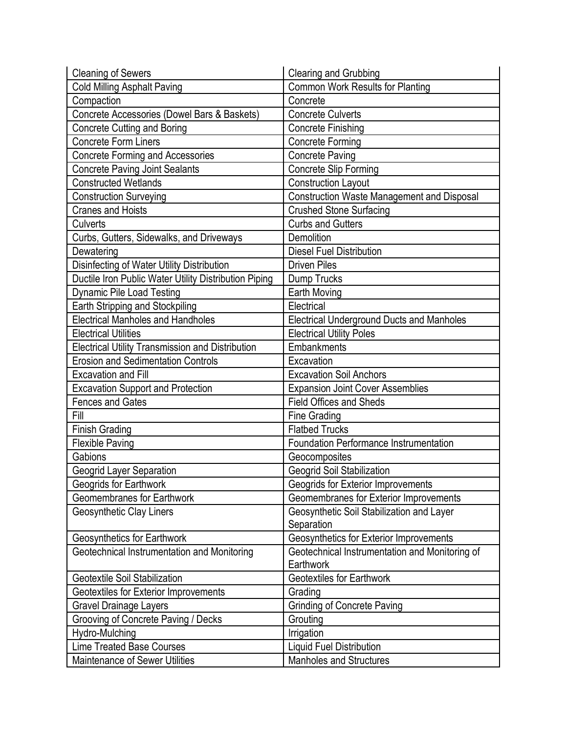| <b>Cleaning of Sewers</b>                               | <b>Clearing and Grubbing</b>                      |
|---------------------------------------------------------|---------------------------------------------------|
| <b>Cold Milling Asphalt Paving</b>                      | <b>Common Work Results for Planting</b>           |
| Compaction                                              | Concrete                                          |
| Concrete Accessories (Dowel Bars & Baskets)             | <b>Concrete Culverts</b>                          |
| <b>Concrete Cutting and Boring</b>                      | <b>Concrete Finishing</b>                         |
| <b>Concrete Form Liners</b>                             | <b>Concrete Forming</b>                           |
| <b>Concrete Forming and Accessories</b>                 | <b>Concrete Paving</b>                            |
| <b>Concrete Paving Joint Sealants</b>                   | Concrete Slip Forming                             |
| <b>Constructed Wetlands</b>                             | <b>Construction Layout</b>                        |
| <b>Construction Surveying</b>                           | <b>Construction Waste Management and Disposal</b> |
| <b>Cranes and Hoists</b>                                | <b>Crushed Stone Surfacing</b>                    |
| Culverts                                                | <b>Curbs and Gutters</b>                          |
| Curbs, Gutters, Sidewalks, and Driveways                | Demolition                                        |
| Dewatering                                              | <b>Diesel Fuel Distribution</b>                   |
| Disinfecting of Water Utility Distribution              | <b>Driven Piles</b>                               |
| Ductile Iron Public Water Utility Distribution Piping   | Dump Trucks                                       |
| <b>Dynamic Pile Load Testing</b>                        | <b>Earth Moving</b>                               |
| Earth Stripping and Stockpiling                         | Electrical                                        |
| <b>Electrical Manholes and Handholes</b>                | <b>Electrical Underground Ducts and Manholes</b>  |
| <b>Electrical Utilities</b>                             | <b>Electrical Utility Poles</b>                   |
| <b>Electrical Utility Transmission and Distribution</b> | Embankments                                       |
| <b>Erosion and Sedimentation Controls</b>               | Excavation                                        |
| <b>Excavation and Fill</b>                              | <b>Excavation Soil Anchors</b>                    |
| <b>Excavation Support and Protection</b>                | <b>Expansion Joint Cover Assemblies</b>           |
| <b>Fences and Gates</b>                                 | <b>Field Offices and Sheds</b>                    |
| Fill                                                    | Fine Grading                                      |
| <b>Finish Grading</b>                                   | <b>Flatbed Trucks</b>                             |
| <b>Flexible Paving</b>                                  | <b>Foundation Performance Instrumentation</b>     |
| Gabions                                                 | Geocomposites                                     |
| Geogrid Layer Separation                                | Geogrid Soil Stabilization                        |
| Geogrids for Earthwork                                  | Geogrids for Exterior Improvements                |
| Geomembranes for Earthwork                              | Geomembranes for Exterior Improvements            |
| Geosynthetic Clay Liners                                | Geosynthetic Soil Stabilization and Layer         |
|                                                         | Separation                                        |
| Geosynthetics for Earthwork                             | Geosynthetics for Exterior Improvements           |
| Geotechnical Instrumentation and Monitoring             | Geotechnical Instrumentation and Monitoring of    |
|                                                         | Earthwork                                         |
| Geotextile Soil Stabilization                           | Geotextiles for Earthwork                         |
| Geotextiles for Exterior Improvements                   | Grading                                           |
| <b>Gravel Drainage Layers</b>                           | <b>Grinding of Concrete Paving</b>                |
|                                                         |                                                   |
| Grooving of Concrete Paving / Decks                     | Grouting                                          |
| Hydro-Mulching                                          | Irrigation                                        |
| <b>Lime Treated Base Courses</b>                        | <b>Liquid Fuel Distribution</b>                   |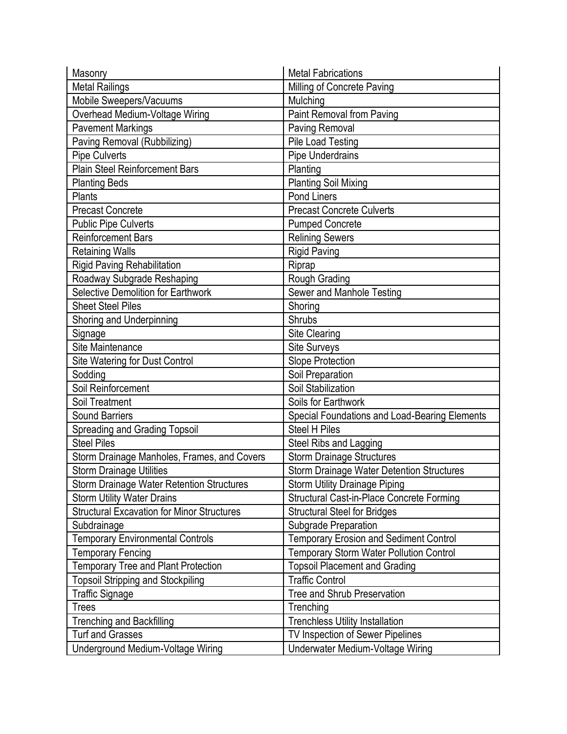| Masonry                                           | <b>Metal Fabrications</b>                        |
|---------------------------------------------------|--------------------------------------------------|
| <b>Metal Railings</b>                             | Milling of Concrete Paving                       |
| Mobile Sweepers/Vacuums                           | Mulching                                         |
| Overhead Medium-Voltage Wiring                    | Paint Removal from Paving                        |
| <b>Pavement Markings</b>                          | <b>Paving Removal</b>                            |
| Paving Removal (Rubbilizing)                      | <b>Pile Load Testing</b>                         |
| Pipe Culverts                                     | Pipe Underdrains                                 |
| <b>Plain Steel Reinforcement Bars</b>             | Planting                                         |
| <b>Planting Beds</b>                              | <b>Planting Soil Mixing</b>                      |
| <b>Plants</b>                                     | Pond Liners                                      |
| <b>Precast Concrete</b>                           | <b>Precast Concrete Culverts</b>                 |
| <b>Public Pipe Culverts</b>                       | <b>Pumped Concrete</b>                           |
| <b>Reinforcement Bars</b>                         | <b>Relining Sewers</b>                           |
| <b>Retaining Walls</b>                            | <b>Rigid Paving</b>                              |
| <b>Rigid Paving Rehabilitation</b>                | Riprap                                           |
| Roadway Subgrade Reshaping                        | Rough Grading                                    |
| Selective Demolition for Earthwork                | Sewer and Manhole Testing                        |
| <b>Sheet Steel Piles</b>                          | Shoring                                          |
| Shoring and Underpinning                          | <b>Shrubs</b>                                    |
| Signage                                           | Site Clearing                                    |
| Site Maintenance                                  | Site Surveys                                     |
| <b>Site Watering for Dust Control</b>             | Slope Protection                                 |
| Sodding                                           | Soil Preparation                                 |
| Soil Reinforcement                                | Soil Stabilization                               |
| Soil Treatment                                    | Soils for Earthwork                              |
| <b>Sound Barriers</b>                             | Special Foundations and Load-Bearing Elements    |
| <b>Spreading and Grading Topsoil</b>              | <b>Steel H Piles</b>                             |
| <b>Steel Piles</b>                                | Steel Ribs and Lagging                           |
| Storm Drainage Manholes, Frames, and Covers       | <b>Storm Drainage Structures</b>                 |
| <b>Storm Drainage Utilities</b>                   | <b>Storm Drainage Water Detention Structures</b> |
| Storm Drainage Water Retention Structures         | <b>Storm Utility Drainage Piping</b>             |
| <b>Storm Utility Water Drains</b>                 | Structural Cast-in-Place Concrete Forming        |
| <b>Structural Excavation for Minor Structures</b> | <b>Structural Steel for Bridges</b>              |
| Subdrainage                                       | Subgrade Preparation                             |
| <b>Temporary Environmental Controls</b>           | <b>Temporary Erosion and Sediment Control</b>    |
| <b>Temporary Fencing</b>                          | <b>Temporary Storm Water Pollution Control</b>   |
| <b>Temporary Tree and Plant Protection</b>        | <b>Topsoil Placement and Grading</b>             |
| <b>Topsoil Stripping and Stockpiling</b>          | <b>Traffic Control</b>                           |
| <b>Traffic Signage</b>                            | Tree and Shrub Preservation                      |
| <b>Trees</b>                                      | Trenching                                        |
| <b>Trenching and Backfilling</b>                  | <b>Trenchless Utility Installation</b>           |
| <b>Turf and Grasses</b>                           | TV Inspection of Sewer Pipelines                 |
| Underground Medium-Voltage Wiring                 | Underwater Medium-Voltage Wiring                 |